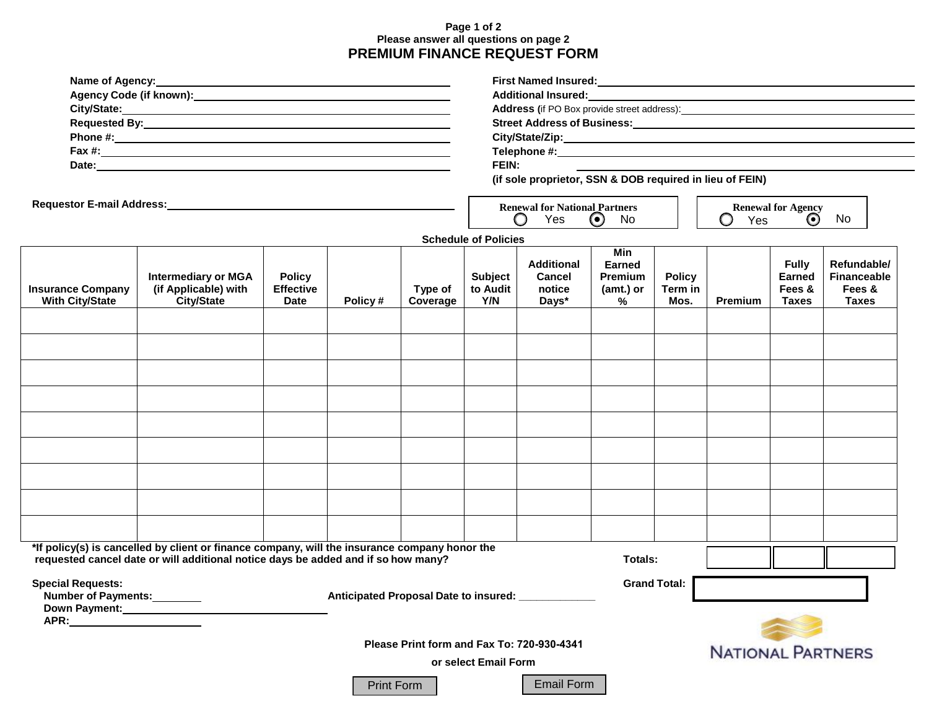## **Page 1 of 2 Please answer all questions on page 2 PREMIUM FINANCE REQUEST FORM**

| Name of Agency: Name of Agency: Name of Agency:<br>Requestor E-mail Address:<br>Management Address: |                                                                                                                                                                                    |                                                  |                                           |                     | Street Address of Business: Manual Manual Manual Manual Manual Manual Manual Manual Manual Manual Manual Manua<br>FEIN: |                                                       |                                     |                                  |                           |                                                  |                                                             |
|-----------------------------------------------------------------------------------------------------|------------------------------------------------------------------------------------------------------------------------------------------------------------------------------------|--------------------------------------------------|-------------------------------------------|---------------------|-------------------------------------------------------------------------------------------------------------------------|-------------------------------------------------------|-------------------------------------|----------------------------------|---------------------------|--------------------------------------------------|-------------------------------------------------------------|
|                                                                                                     |                                                                                                                                                                                    |                                                  |                                           |                     | (if sole proprietor, SSN & DOB required in lieu of FEIN)<br><b>Renewal for National Partners</b>                        |                                                       |                                     |                                  | <b>Renewal for Agency</b> |                                                  |                                                             |
|                                                                                                     |                                                                                                                                                                                    |                                                  |                                           |                     |                                                                                                                         | Yes<br>O                                              | $\odot$<br>No                       |                                  | O<br>Yes                  | $\odot$                                          | No                                                          |
|                                                                                                     |                                                                                                                                                                                    |                                                  |                                           |                     | <b>Schedule of Policies</b>                                                                                             |                                                       | <b>Min</b>                          |                                  |                           |                                                  |                                                             |
| <b>Insurance Company</b><br><b>With City/State</b>                                                  | <b>Intermediary or MGA</b><br>(if Applicable) with<br><b>City/State</b>                                                                                                            | <b>Policy</b><br><b>Effective</b><br><b>Date</b> | Policy#                                   | Type of<br>Coverage | <b>Subject</b><br>to Audit<br>Y/N                                                                                       | <b>Additional</b><br><b>Cancel</b><br>notice<br>Days* | Earned<br>Premium<br>(amt.) or<br>% | <b>Policy</b><br>Term in<br>Mos. | <b>Premium</b>            | <b>Fully</b><br><b>Earned</b><br>Fees &<br>Taxes | Refundable/<br><b>Financeable</b><br>Fees &<br><b>Taxes</b> |
|                                                                                                     |                                                                                                                                                                                    |                                                  |                                           |                     |                                                                                                                         |                                                       |                                     |                                  |                           |                                                  |                                                             |
|                                                                                                     |                                                                                                                                                                                    |                                                  |                                           |                     |                                                                                                                         |                                                       |                                     |                                  |                           |                                                  |                                                             |
|                                                                                                     |                                                                                                                                                                                    |                                                  |                                           |                     |                                                                                                                         |                                                       |                                     |                                  |                           |                                                  |                                                             |
|                                                                                                     |                                                                                                                                                                                    |                                                  |                                           |                     |                                                                                                                         |                                                       |                                     |                                  |                           |                                                  |                                                             |
|                                                                                                     |                                                                                                                                                                                    |                                                  |                                           |                     |                                                                                                                         |                                                       |                                     |                                  |                           |                                                  |                                                             |
|                                                                                                     |                                                                                                                                                                                    |                                                  |                                           |                     |                                                                                                                         |                                                       |                                     |                                  |                           |                                                  |                                                             |
|                                                                                                     |                                                                                                                                                                                    |                                                  |                                           |                     |                                                                                                                         |                                                       |                                     |                                  |                           |                                                  |                                                             |
|                                                                                                     |                                                                                                                                                                                    |                                                  |                                           |                     |                                                                                                                         |                                                       |                                     |                                  |                           |                                                  |                                                             |
|                                                                                                     |                                                                                                                                                                                    |                                                  |                                           |                     |                                                                                                                         |                                                       |                                     |                                  |                           |                                                  |                                                             |
|                                                                                                     |                                                                                                                                                                                    |                                                  |                                           |                     |                                                                                                                         |                                                       |                                     |                                  |                           |                                                  |                                                             |
|                                                                                                     | *If policy(s) is cancelled by client or finance company, will the insurance company honor the<br>requested cancel date or will additional notice days be added and if so how many? |                                                  |                                           |                     |                                                                                                                         |                                                       | Totals:                             |                                  |                           |                                                  |                                                             |
| <b>Special Requests:</b><br>Number of Payments:<br>Down Payment:<br><u> </u>                        |                                                                                                                                                                                    |                                                  | Anticipated Proposal Date to insured: ___ |                     |                                                                                                                         |                                                       |                                     | <b>Grand Total:</b>              |                           |                                                  |                                                             |
|                                                                                                     |                                                                                                                                                                                    |                                                  |                                           |                     |                                                                                                                         | Please Print form and Fax To: 720-930-4341            |                                     |                                  |                           |                                                  |                                                             |
|                                                                                                     |                                                                                                                                                                                    |                                                  |                                           |                     | or select Email Form                                                                                                    |                                                       |                                     |                                  | <b>NATIONAL PARTNERS</b>  |                                                  |                                                             |
|                                                                                                     |                                                                                                                                                                                    |                                                  | <b>Print Form</b>                         |                     |                                                                                                                         | <b>Email Form</b>                                     |                                     |                                  |                           |                                                  |                                                             |